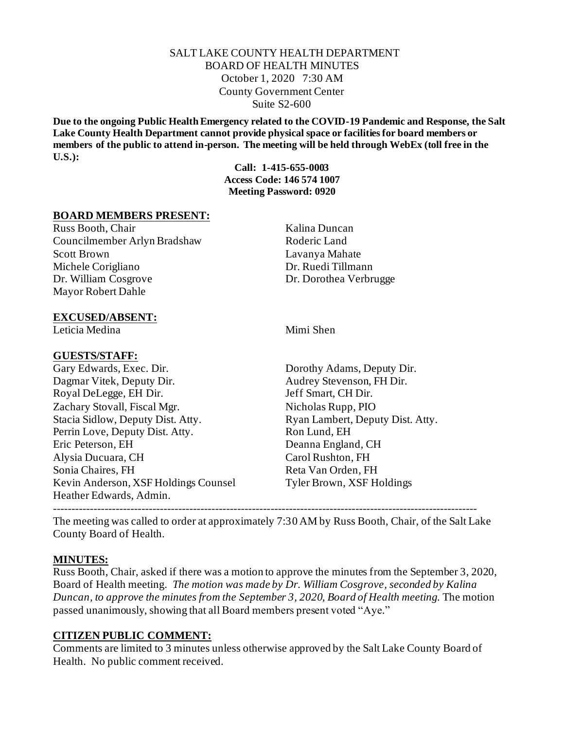## SALT LAKE COUNTY HEALTH DEPARTMENT BOARD OF HEALTH MINUTES October 1, 2020 7:30 AM County Government Center Suite S2-600

**Due to the ongoing Public Health Emergency related to the COVID-19 Pandemic and Response, the Salt Lake County Health Department cannot provide physical space or facilities for board members or members of the public to attend in-person. The meeting will be held through WebEx (toll free in the U.S.):**

**Call: 1-415-655-0003 Access Code: 146 574 1007 Meeting Password: 0920**

## **BOARD MEMBERS PRESENT:**

Russ Booth, Chair Kalina Duncan Councilmember Arlyn Bradshaw Roderic Land Scott Brown Lavanya Mahate Michele Corigliano Dr. Ruedi Tillmann Dr. William Cosgrove Dr. Dorothea Verbrugge Mayor Robert Dahle

#### **EXCUSED/ABSENT:**

Leticia Medina **Mimi** Shen

#### **GUESTS/STAFF:**

Gary Edwards, Exec. Dir. Dorothy Adams, Deputy Dir. Dagmar Vitek, Deputy Dir. Audrey Stevenson, FH Dir. Royal DeLegge, EH Dir. Jeff Smart, CH Dir. Zachary Stovall, Fiscal Mgr. Nicholas Rupp, PIO Stacia Sidlow, Deputy Dist. Atty. Ryan Lambert, Deputy Dist. Atty. Perrin Love, Deputy Dist. Atty. Ron Lund, EH Eric Peterson, EH Deanna England, CH Alysia Ducuara, CH Carol Rushton, FH Sonia Chaires, FH **Reta Van Orden**, FH Kevin Anderson, XSF Holdings Counsel Tyler Brown, XSF Holdings Heather Edwards, Admin.

The meeting was called to order at approximately 7:30 AM by Russ Booth, Chair, of the Salt Lake County Board of Health.

-------------------------------------------------------------------------------------------------------------------

#### **MINUTES:**

Russ Booth, Chair, asked if there was a motion to approve the minutes from the September 3, 2020, Board of Health meeting. *The motion was made by Dr. William Cosgrove, seconded by Kalina Duncan, to approve the minutes from the September 3, 2020, Board of Health meeting. The motion* passed unanimously, showing that all Board members present voted "Aye."

#### **CITIZEN PUBLIC COMMENT:**

Comments are limited to 3 minutes unless otherwise approved by the Salt Lake County Board of Health. No public comment received.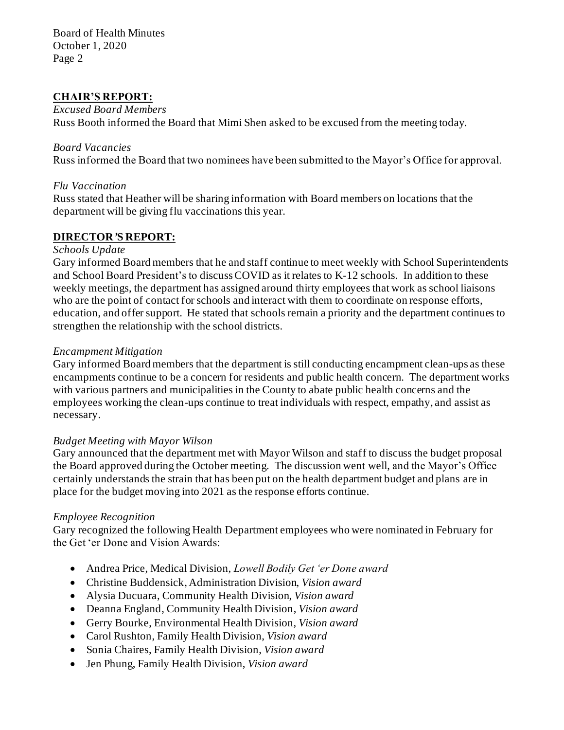Board of Health Minutes October 1, 2020 Page 2

# **CHAIR'S REPORT:**

#### *Excused Board Members*

Russ Booth informed the Board that Mimi Shen asked to be excused from the meeting today.

#### *Board Vacancies*

Russ informed the Board that two nominees have been submitted to the Mayor's Office for approval.

## *Flu Vaccination*

Russ stated that Heather will be sharing information with Board members on locations that the department will be giving flu vaccinations this year.

# **DIRECTOR***'***S REPORT:**

#### *Schools Update*

Gary informed Board members that he and staff continue to meet weekly with School Superintendents and School Board President's to discuss COVID as it relates to K-12 schools. In addition to these weekly meetings, the department has assigned around thirty employees that work as school liaisons who are the point of contact for schools and interact with them to coordinate on response efforts, education, and offer support. He stated that schools remain a priority and the department continues to strengthen the relationship with the school districts.

## *Encampment Mitigation*

Gary informed Board members that the department is still conducting encampment clean-ups as these encampments continue to be a concern for residents and public health concern. The department works with various partners and municipalities in the County to abate public health concerns and the employees working the clean-ups continue to treat individuals with respect, empathy, and assist as necessary.

# *Budget Meeting with Mayor Wilson*

Gary announced that the department met with Mayor Wilson and staff to discuss the budget proposal the Board approved during the October meeting. The discussion went well, and the Mayor's Office certainly understands the strain that has been put on the health department budget and plans are in place for the budget moving into 2021 as the response efforts continue.

# *Employee Recognition*

Gary recognized the following Health Department employees who were nominated in February for the Get 'er Done and Vision Awards:

- Andrea Price, Medical Division, *Lowell Bodily Get 'er Done award*
- Christine Buddensick, Administration Division, *Vision award*
- Alysia Ducuara, Community Health Division, *Vision award*
- Deanna England, Community Health Division, *Vision award*
- Gerry Bourke, Environmental Health Division, *Vision award*
- Carol Rushton, Family Health Division, *Vision award*
- Sonia Chaires, Family Health Division, *Vision award*
- Jen Phung, Family Health Division, *Vision award*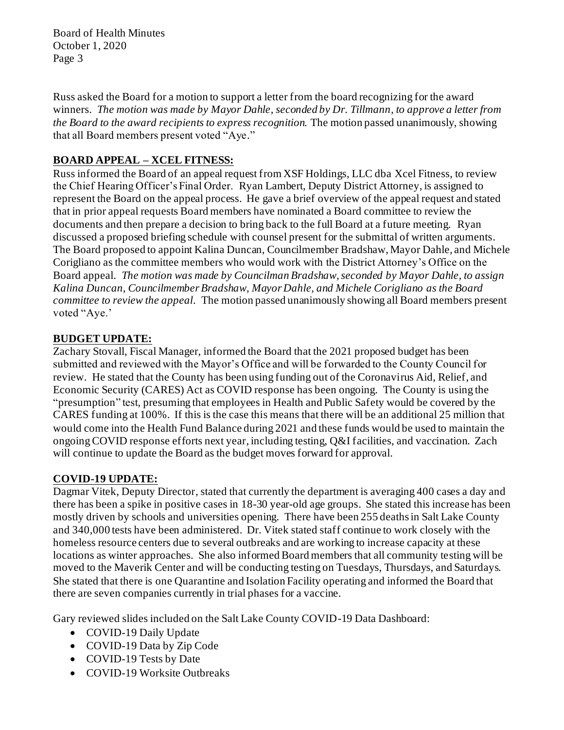Board of Health Minutes October 1, 2020 Page 3

Russ asked the Board for a motion to support a letter from the board recognizing for the award winners. *The motion was made by Mayor Dahle, seconded by Dr. Tillmann, to approve a letter from the Board to the award recipients to express recognition.* The motion passed unanimously, showing that all Board members present voted "Aye."

# **BOARD APPEAL – XCEL FITNESS:**

Russ informed the Board of an appeal request from XSF Holdings, LLC dba Xcel Fitness, to review the Chief Hearing Officer's Final Order. Ryan Lambert, Deputy District Attorney, is assigned to represent the Board on the appeal process. He gave a brief overview of the appeal request and stated that in prior appeal requests Board members have nominated a Board committee to review the documents and then prepare a decision to bring back to the full Board at a future meeting. Ryan discussed a proposed briefing schedule with counsel present for the submittal of written arguments. The Board proposed to appoint Kalina Duncan, Councilmember Bradshaw, Mayor Dahle, and Michele Corigliano as the committee members who would work with the District Attorney's Office on the Board appeal. *The motion was made by Councilman Bradshaw, seconded by Mayor Dahle, to assign Kalina Duncan, Councilmember Bradshaw, Mayor Dahle, and Michele Corigliano as the Board committee to review the appeal.* The motion passed unanimously showing all Board members present voted "Aye.'

# **BUDGET UPDATE:**

Zachary Stovall, Fiscal Manager, informed the Board that the 2021 proposed budget has been submitted and reviewed with the Mayor's Office and will be forwarded to the County Council for review. He stated that the County has been using funding out of the Coronavirus Aid, Relief, and Economic Security (CARES) Act as COVID response has been ongoing. The County is using the "presumption" test, presuming that employees in Health and Public Safety would be covered by the CARES funding at 100%. If this is the case this means that there will be an additional 25 million that would come into the Health Fund Balance during 2021 and these funds would be used to maintain the ongoing COVID response efforts next year, including testing, Q&I facilities, and vaccination. Zach will continue to update the Board as the budget moves forward for approval.

# **COVID-19 UPDATE:**

Dagmar Vitek, Deputy Director, stated that currently the department is averaging 400 cases a day and there has been a spike in positive cases in 18-30 year-old age groups. She stated this increase has been mostly driven by schools and universities opening. There have been 255 deaths in Salt Lake County and 340,000 tests have been administered. Dr. Vitek stated staff continue to work closely with the homeless resource centers due to several outbreaks and are working to increase capacity at these locations as winter approaches. She also informed Board members that all community testing will be moved to the Maverik Center and will be conducting testing on Tuesdays, Thursdays, and Saturdays. She stated that there is one Quarantine and Isolation Facility operating and informed the Board that there are seven companies currently in trial phases for a vaccine.

Gary reviewed slides included on the Salt Lake County COVID-19 Data Dashboard:

- COVID-19 Daily Update
- COVID-19 Data by Zip Code
- COVID-19 Tests by Date
- COVID-19 Worksite Outbreaks